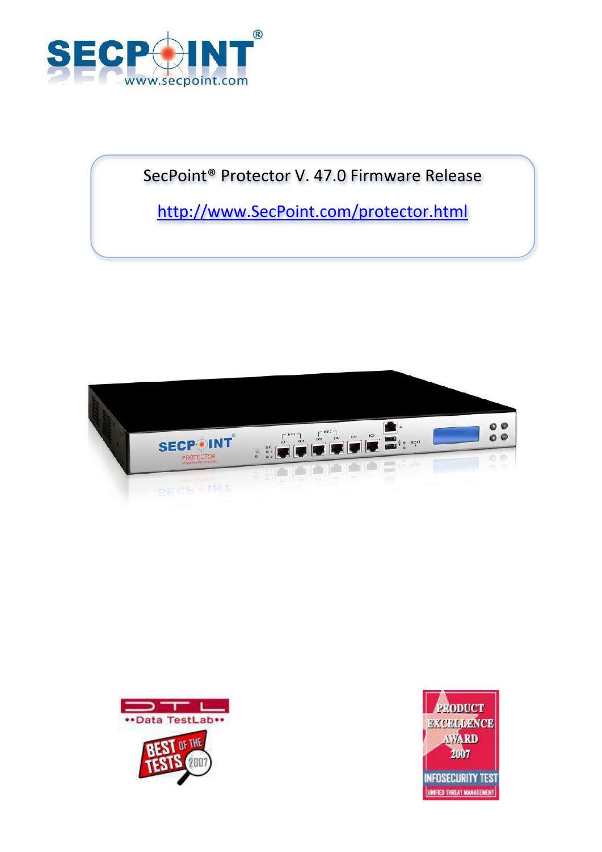

# SecPoint® Protector V. 47.0 Firmware Release

[http://www.SecPoint.com/protector.html](http://www.secpoint.com/protector.html)





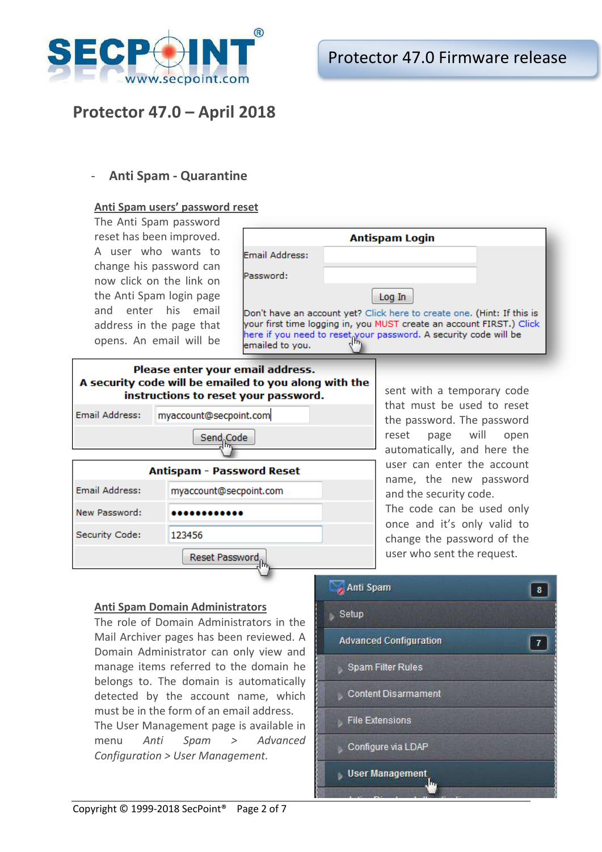

## **Protector 47.0 – April 2018**

## - **Anti Spam - Quarantine**

### **Anti Spam users' password reset**

The Anti Spam password reset has been improved. A user who wants to change his password can now click on the link on the Anti Spam login page and enter his email address in the page that opens. An email will be

|                 | <b>Antispam Login</b>                                                                                                                                                                                              |  |
|-----------------|--------------------------------------------------------------------------------------------------------------------------------------------------------------------------------------------------------------------|--|
| Email Address:  |                                                                                                                                                                                                                    |  |
| Password:       |                                                                                                                                                                                                                    |  |
|                 | Log In                                                                                                                                                                                                             |  |
| emailed to you. | Don't have an account yet? Click here to create one. (Hint: If this is<br>your first time logging in, you MUST create an account FIRST.) Click<br>here if you need to reset your password. A security code will be |  |

## Please enter your email address. A security code will be emailed to you along with the instructions to reset your password.



sent with a temporary code that must be used to reset the password. The password reset page will open automatically, and here the user can enter the account name, the new password and the security code. The code can be used only once and it's only valid to change the password of the

user who sent the request.

## **Anti Spam Domain Administrators**

The role of Domain Administrators in the Mail Archiver pages has been reviewed. A Domain Administrator can only view and manage items referred to the domain he belongs to. The domain is automatically detected by the account name, which must be in the form of an email address. The User Management page is available in menu *Anti Spam > Advanced Configuration > User Management.*

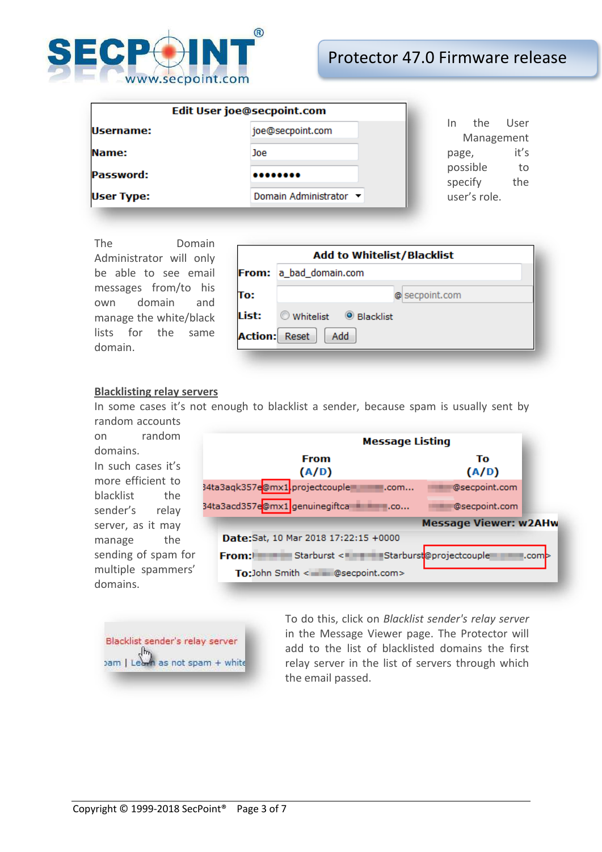

## Protector 47.0 Firmware release

| Edit User joe@secpoint.com |                        |                                   |
|----------------------------|------------------------|-----------------------------------|
| Username:                  | joe@secpoint.com       | User<br>the.<br>In.<br>Management |
| Name:                      | Joe                    | it's<br>page,                     |
| Password:                  |                        | possible<br>to<br>specify<br>the  |
| <b>User Type:</b>          | Domain Administrator ▼ | user's role.                      |

The Domain Administrator will only be able to see email messages from/to his own domain and manage the white/black lists for the same domain.

|                      | <b>Add to Whitelist/Blacklist</b> |  |  |
|----------------------|-----------------------------------|--|--|
|                      | From: a_bad_domain.com            |  |  |
| To:                  | @ secpoint.com                    |  |  |
| List:                | Whitelist <sup>O</sup> Blacklist  |  |  |
| <b>Action:</b> Reset | Add                               |  |  |

#### **Blacklisting relay servers**

In some cases it's not enough to blacklist a sender, because spam is usually sent by random accounts

on random domains. In such cases it's more efficient to blacklist the sender's relay server, as it may manage the sending of spam for multiple spammers' domains.

|                                                            | <b>Message Listing</b>       |  |  |  |  |
|------------------------------------------------------------|------------------------------|--|--|--|--|
| <b>From</b><br>(A/D)                                       | Тo<br>(A/D)                  |  |  |  |  |
| 34ta3aqk357e@mx1 <mark>.</mark> projectcouple<br>.com      | @secpoint.com                |  |  |  |  |
| 34ta3acd357e@mx1 genuinegiftca<br>$\mathsf{I}.\mathsf{co}$ | @secpoint.com                |  |  |  |  |
|                                                            | <b>Message Viewer: w2AHw</b> |  |  |  |  |
| Date:Sat, 10 Mar 2018 17:22:15 +0000                       |                              |  |  |  |  |
| Starburst <= Starburst@projectcouple<br>From:              |                              |  |  |  |  |
| To:John Smith < m m @secpoint.com>                         |                              |  |  |  |  |



To do this, click on *Blacklist sender's relay server* in the Message Viewer page. The Protector will add to the list of blacklisted domains the first relay server in the list of servers through which the email passed.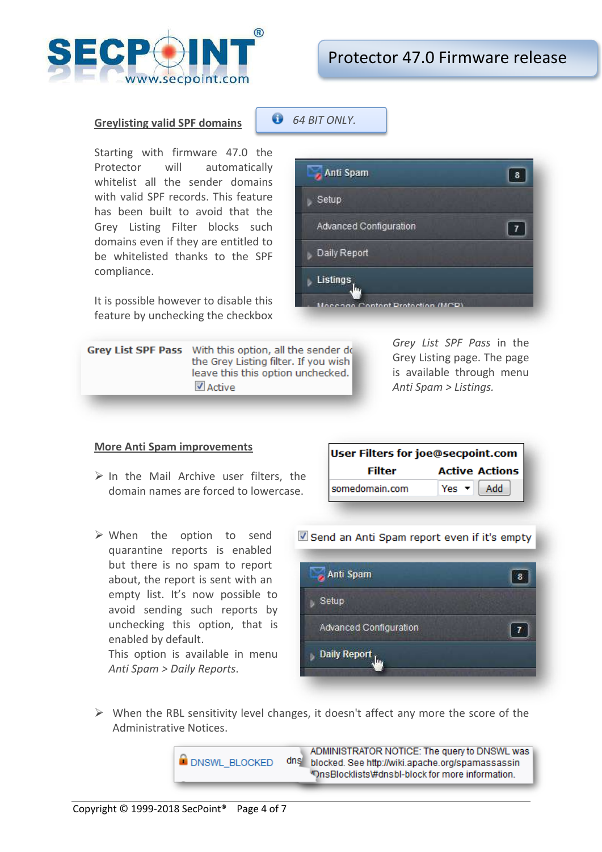

 $\overline{\mathbf{8}}$ 

 $\overline{7}$ 

#### **Greylisting valid SPF domains**

Starting with firmware 47.0 the Protector will automatically whitelist all the sender domains with valid SPF records. This feature has been built to avoid that the Grey Listing Filter blocks such domains even if they are entitled to be whitelisted thanks to the SPF compliance.

It is possible however to disable this feature by unchecking the checkbox

Grey List SPF Pass With this option, all the sender do the Grey Listing filter. If you wish leave this this option unchecked. ■ Active

*Grey List SPF Pass* in the Grey Listing page. The page is available through menu *Anti Spam > Listings.*

#### **More Anti Spam improvements**

- $\triangleright$  In the Mail Archive user filters, the domain names are forced to lowercase.
- When the option to send quarantine reports is enabled but there is no spam to report about, the report is sent with an empty list. It's now possible to avoid sending such reports by unchecking this option, that is enabled by default.

This option is available in menu *Anti Spam > Daily Reports*.

| User Filters for joe@secpoint.com |                           |  |  |  |
|-----------------------------------|---------------------------|--|--|--|
| <b>Filter</b>                     | <b>Active Actions</b>     |  |  |  |
| somedomain.com                    | Add<br>Yes $\overline{v}$ |  |  |  |

Contant Protection (MCP)

#### Send an Anti Spam report even if it's empty

 $\triangleright$  When the RBL sensitivity level changes, it doesn't affect any more the score of the Administrative Notices.



6 *64 BIT ONLY.*

- Anti Spam

Advanced Configuration

Setup

Daily Report

Listings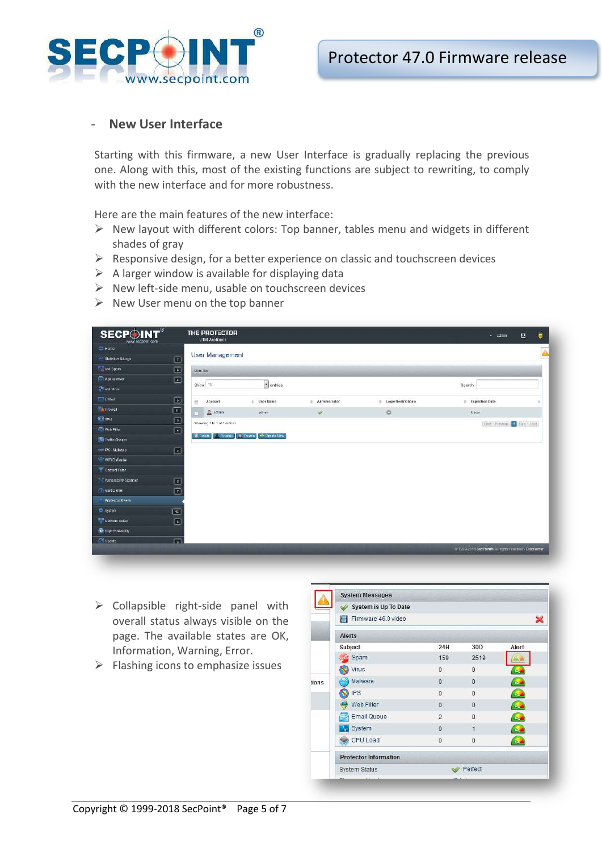

## **New User Interface**

Starting with this firmware, a new User Interface is gradually replacing the previous one. Along with this, most of the existing functions are subject to rewriting, to comply with the new interface and for more robustness.

Here are the main features of the new interface:

- $\triangleright$  New layout with different colors: Top banner, tables menu and widgets in different shades of gray
- $\triangleright$  Responsive design, for a better experience on classic and touchscreen devices
- $\triangleright$  A larger window is available for displaying data
- $\triangleright$  New left-side menu, usable on touchscreen devices
- $\triangleright$  New User menu on the top banner

| <b>SECPOINT®</b><br>www.secpoint.com           | THE PROTECTOR<br>UTM Appliance:                                      |                   |               |                    | $-$ admin                                             | Ġ<br>四 |
|------------------------------------------------|----------------------------------------------------------------------|-------------------|---------------|--------------------|-------------------------------------------------------|--------|
| $\Box$ Home                                    |                                                                      |                   |               |                    |                                                       |        |
| <b>Mr Statistics &amp; Logs</b><br>$\Box$      | User Management                                                      |                   |               |                    |                                                       |        |
| Arn Spam<br>$\Box$                             | User list                                                            |                   |               |                    |                                                       |        |
| <b>Mat Archiver</b><br>▣                       |                                                                      |                   |               |                    |                                                       |        |
| <b>Chicago</b> Vinas                           | Show 10                                                              | $\bullet$ entries |               |                    | Search                                                |        |
| <b>E-Mail</b><br>$\Box$                        | Account<br>西                                                         | User Name<br>÷    | Administrator | Login Restrictions | Expiration Date                                       |        |
| Firewall<br>$\boxed{11}$                       | $2$ somin                                                            | admin             | $\mathcal{Q}$ | $\circ$            | Never.                                                |        |
| <b>EB</b> IPN<br>$\Box$                        | Showing 1 to 1 of 1 ontries                                          |                   |               |                    | First Previous (1) Next Last                          |        |
| (ft) Wab Filter<br>$\left  \mathbf{F} \right $ |                                                                      |                   |               |                    |                                                       |        |
| W Traffic Shaper                               | To Dalote <b>Contability</b>   T. Enable   - <sup>1</sup> Create New |                   |               |                    |                                                       |        |
| $\boxed{2}$<br>on IPS-Malware                  |                                                                      |                   |               |                    |                                                       |        |
| WIFI Defender                                  |                                                                      |                   |               |                    |                                                       |        |
| Content Filter                                 |                                                                      |                   |               |                    |                                                       |        |
| <b>Numerability Scanner</b><br>$\boxed{2}$     |                                                                      |                   |               |                    |                                                       |        |
| $\boxed{7}$<br><b>A Mert Center</b>            |                                                                      |                   |               |                    |                                                       |        |
| <b>Protector Users</b>                         |                                                                      |                   |               |                    |                                                       |        |
| <b>D</b> System<br>$\boxed{12}$                |                                                                      |                   |               |                    |                                                       |        |
| Network Setup<br>$\boxed{1}$                   |                                                                      |                   |               |                    |                                                       |        |
| 10 High Availability                           |                                                                      |                   |               |                    |                                                       |        |
| $\Box$<br><b>Contate</b>                       |                                                                      |                   |               |                    |                                                       |        |
|                                                |                                                                      |                   |               |                    | @ 1999-2018 SecPainW All rights reserved - Disclarmer |        |
|                                                |                                                                      |                   |               |                    |                                                       |        |

- $\triangleright$  Collapsible right-side panel with overall status always visible on the page. The available states are OK, Information, Warning, Error.
- $\triangleright$  Flashing icons to emphasize issues

|       | <b>System Messages</b>       |                |                 |                         |  |  |
|-------|------------------------------|----------------|-----------------|-------------------------|--|--|
|       | System is Up To Date         |                |                 |                         |  |  |
|       | Firmware 46.0 video          |                |                 | ×                       |  |  |
|       | Alerts                       |                |                 |                         |  |  |
|       | Subject                      | 24H            | 30 <sub>D</sub> | Alert                   |  |  |
|       | Spam                         | 159            | 2519            |                         |  |  |
|       | Virus                        | $\Omega$       | $\Omega$        |                         |  |  |
| tions | Malware                      | $\overline{0}$ | $\overline{0}$  | $\mathbf{a}$            |  |  |
|       | <b>IPS</b>                   | $\overline{0}$ | $\overline{0}$  | $\mathbf{r}_\mathrm{c}$ |  |  |
|       | Web Filter                   | $\overline{0}$ | $\theta$        | $\mathbf{Q}$            |  |  |
|       | <b>Email Queue</b>           | $\overline{2}$ | 8               | $\overline{\mathbf{r}}$ |  |  |
|       | System                       | $\overline{0}$ | $\overline{1}$  | $\sim$                  |  |  |
|       | CPU Load                     | $\mathbf{0}$   | $\theta$        |                         |  |  |
|       | <b>Protector Information</b> |                |                 |                         |  |  |
|       | System Status                |                | Perfect         |                         |  |  |
|       |                              |                |                 |                         |  |  |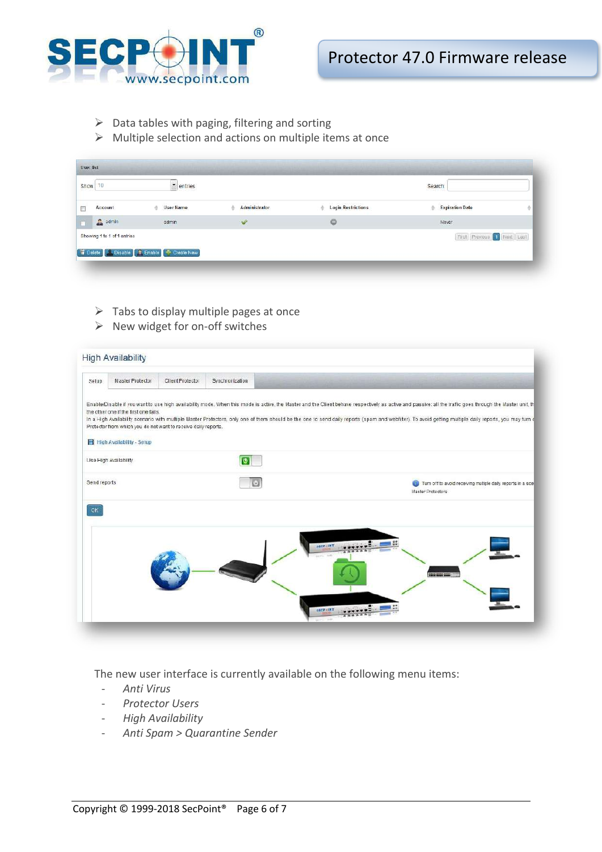

- $\triangleright$  Data tables with paging, filtering and sorting
- $\triangleright$  Multiple selection and actions on multiple items at once

| Show 10                     | $\blacksquare$ entries |               |                                | Search                       |   |
|-----------------------------|------------------------|---------------|--------------------------------|------------------------------|---|
| Account                     | # User Name            | Administrator | <b>Login Restrictions</b><br>÷ | <b>Expiration Date</b><br>스  | ÷ |
| a admin                     | admin                  | ✔             | $\circ$                        | Never                        |   |
| Showing 1 to 1 of 1 entries |                        |               |                                | First Previous (1) Next Last |   |

- $\triangleright$  Tabs to display multiple pages at once
- $\triangleright$  New widget for on-off switches

| Setup        | <b>High Availability</b><br>Master Protector                                                                                                | Client Protector | Synchronization |                                                                                                                                                                                                                                                                                                                                                                                                                       |
|--------------|---------------------------------------------------------------------------------------------------------------------------------------------|------------------|-----------------|-----------------------------------------------------------------------------------------------------------------------------------------------------------------------------------------------------------------------------------------------------------------------------------------------------------------------------------------------------------------------------------------------------------------------|
|              | the other one if the first one fails.<br>Protector from which you do not want to receive daily reports.<br><b>High Availability - Setup</b> |                  |                 | Enable/Disable if you want to use high availability mode. When this mode is active, the Master and the Client behave respectively as active and passive: all the traffic goes through the Master unit, th<br>In a High Availability scenario with multiple Master Protectors, only one of them should be the one to send daily reports (spam and webfilter). To avoid getting multiple daily reports, you may turn of |
|              | Use High Availability                                                                                                                       |                  | ĪΘ              |                                                                                                                                                                                                                                                                                                                                                                                                                       |
| Send reports |                                                                                                                                             |                  |                 | Turn off to avoid receiving multiple daily reports in a scel<br>Master Protectors                                                                                                                                                                                                                                                                                                                                     |
| OK           |                                                                                                                                             |                  |                 | secritive<br>$+111$<br><b>SALE AREA ARE</b><br><b>SECR-INT</b>                                                                                                                                                                                                                                                                                                                                                        |

The new user interface is currently available on the following menu items:

- *Anti Virus*
- *Protector Users*
- *High Availability*
- *Anti Spam > Quarantine Sender*